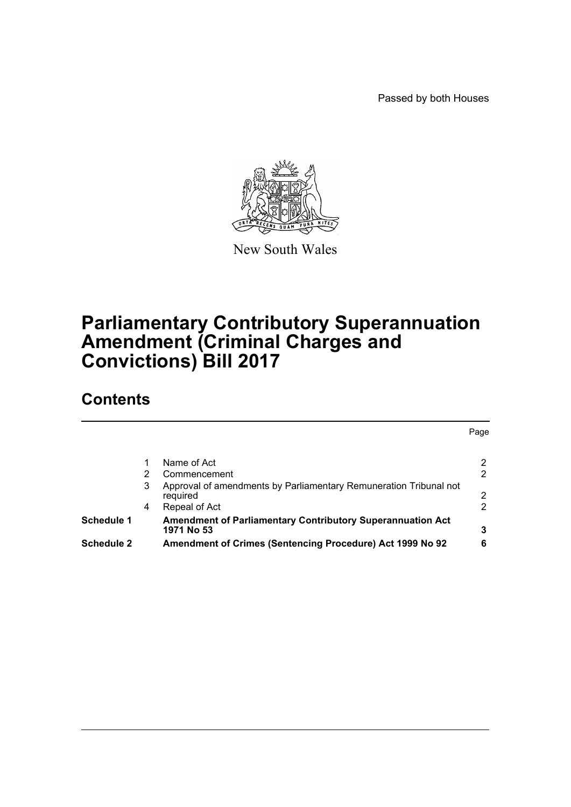Passed by both Houses



New South Wales

# **Parliamentary Contributory Superannuation Amendment (Criminal Charges and Convictions) Bill 2017**

# **Contents**

|                   |   | Name of Act                                                                     | 2 |
|-------------------|---|---------------------------------------------------------------------------------|---|
|                   |   | Commencement                                                                    | 2 |
|                   | 3 | Approval of amendments by Parliamentary Remuneration Tribunal not<br>required   | 2 |
|                   | 4 | Repeal of Act                                                                   | 2 |
| <b>Schedule 1</b> |   | <b>Amendment of Parliamentary Contributory Superannuation Act</b><br>1971 No 53 | 3 |
| <b>Schedule 2</b> |   | Amendment of Crimes (Sentencing Procedure) Act 1999 No 92                       | 6 |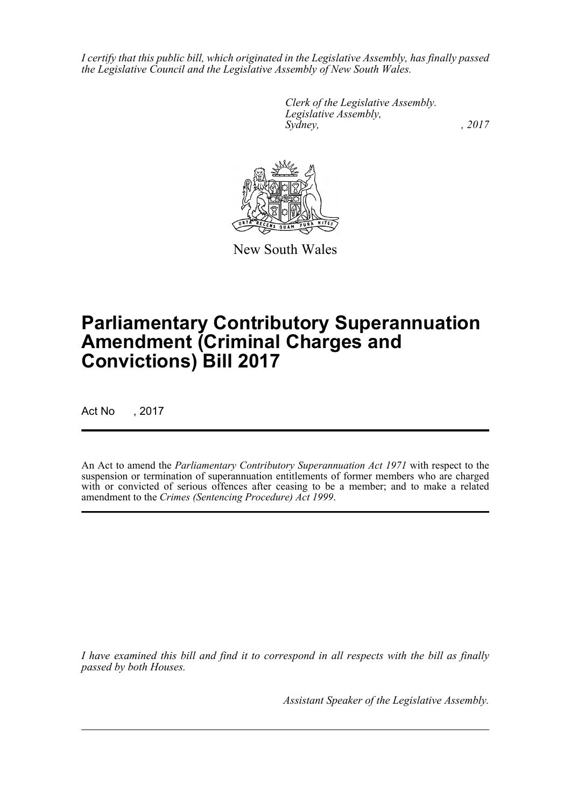*I certify that this public bill, which originated in the Legislative Assembly, has finally passed the Legislative Council and the Legislative Assembly of New South Wales.*

> *Clerk of the Legislative Assembly. Legislative Assembly, Sydney,* , 2017



New South Wales

# **Parliamentary Contributory Superannuation Amendment (Criminal Charges and Convictions) Bill 2017**

Act No , 2017

An Act to amend the *Parliamentary Contributory Superannuation Act 1971* with respect to the suspension or termination of superannuation entitlements of former members who are charged with or convicted of serious offences after ceasing to be a member; and to make a related amendment to the *Crimes (Sentencing Procedure) Act 1999*.

*I have examined this bill and find it to correspond in all respects with the bill as finally passed by both Houses.*

*Assistant Speaker of the Legislative Assembly.*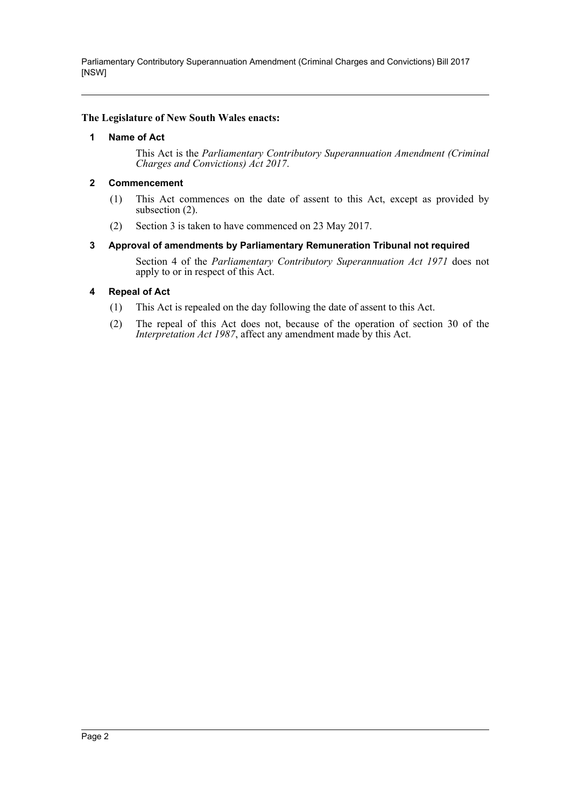Parliamentary Contributory Superannuation Amendment (Criminal Charges and Convictions) Bill 2017 [NSW]

#### <span id="page-2-0"></span>**The Legislature of New South Wales enacts:**

#### **1 Name of Act**

This Act is the *Parliamentary Contributory Superannuation Amendment (Criminal Charges and Convictions) Act 2017*.

#### <span id="page-2-1"></span>**2 Commencement**

- (1) This Act commences on the date of assent to this Act, except as provided by subsection (2).
- (2) Section 3 is taken to have commenced on 23 May 2017.

#### <span id="page-2-2"></span>**3 Approval of amendments by Parliamentary Remuneration Tribunal not required**

Section 4 of the *Parliamentary Contributory Superannuation Act 1971* does not apply to or in respect of this Act.

#### <span id="page-2-3"></span>**4 Repeal of Act**

- (1) This Act is repealed on the day following the date of assent to this Act.
- (2) The repeal of this Act does not, because of the operation of section 30 of the *Interpretation Act 1987*, affect any amendment made by this Act.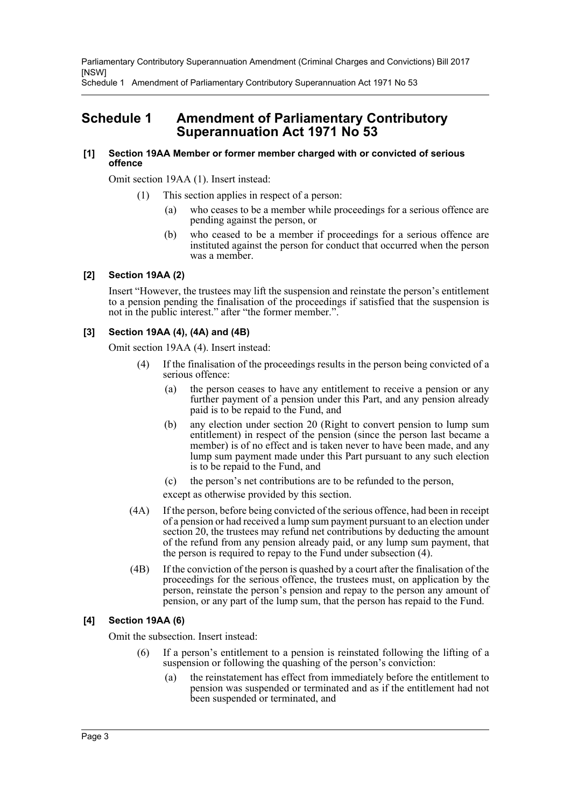Parliamentary Contributory Superannuation Amendment (Criminal Charges and Convictions) Bill 2017 [NSW]

Schedule 1 Amendment of Parliamentary Contributory Superannuation Act 1971 No 53

## <span id="page-3-0"></span>**Schedule 1 Amendment of Parliamentary Contributory Superannuation Act 1971 No 53**

#### **[1] Section 19AA Member or former member charged with or convicted of serious offence**

Omit section 19AA (1). Insert instead:

- (1) This section applies in respect of a person:
	- (a) who ceases to be a member while proceedings for a serious offence are pending against the person, or
	- (b) who ceased to be a member if proceedings for a serious offence are instituted against the person for conduct that occurred when the person was a member.

#### **[2] Section 19AA (2)**

Insert "However, the trustees may lift the suspension and reinstate the person's entitlement to a pension pending the finalisation of the proceedings if satisfied that the suspension is not in the public interest." after "the former member.".

#### **[3] Section 19AA (4), (4A) and (4B)**

Omit section 19AA (4). Insert instead:

- (4) If the finalisation of the proceedings results in the person being convicted of a serious offence:
	- (a) the person ceases to have any entitlement to receive a pension or any further payment of a pension under this Part, and any pension already paid is to be repaid to the Fund, and
	- (b) any election under section 20 (Right to convert pension to lump sum entitlement) in respect of the pension (since the person last became a member) is of no effect and is taken never to have been made, and any lump sum payment made under this Part pursuant to any such election is to be repaid to the Fund, and
	- (c) the person's net contributions are to be refunded to the person,

except as otherwise provided by this section.

- (4A) If the person, before being convicted of the serious offence, had been in receipt of a pension or had received a lump sum payment pursuant to an election under section 20, the trustees may refund net contributions by deducting the amount of the refund from any pension already paid, or any lump sum payment, that the person is required to repay to the Fund under subsection (4).
- (4B) If the conviction of the person is quashed by a court after the finalisation of the proceedings for the serious offence, the trustees must, on application by the person, reinstate the person's pension and repay to the person any amount of pension, or any part of the lump sum, that the person has repaid to the Fund.

### **[4] Section 19AA (6)**

Omit the subsection. Insert instead:

- (6) If a person's entitlement to a pension is reinstated following the lifting of a suspension or following the quashing of the person's conviction:
	- (a) the reinstatement has effect from immediately before the entitlement to pension was suspended or terminated and as if the entitlement had not been suspended or terminated, and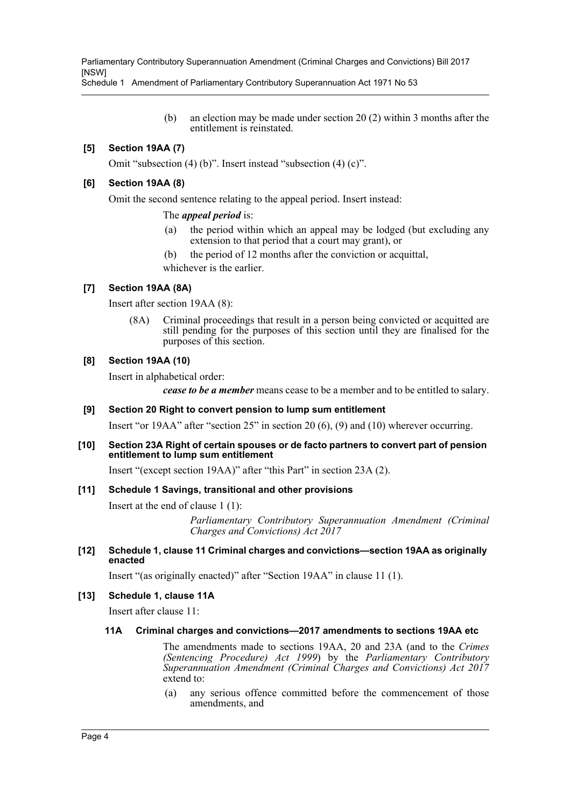Parliamentary Contributory Superannuation Amendment (Criminal Charges and Convictions) Bill 2017 [NSW]

Schedule 1 Amendment of Parliamentary Contributory Superannuation Act 1971 No 53

(b) an election may be made under section 20 (2) within 3 months after the entitlement is reinstated.

### **[5] Section 19AA (7)**

Omit "subsection (4) (b)". Insert instead "subsection (4) (c)".

#### **[6] Section 19AA (8)**

Omit the second sentence relating to the appeal period. Insert instead:

#### The *appeal period* is:

- (a) the period within which an appeal may be lodged (but excluding any extension to that period that a court may grant), or
- (b) the period of 12 months after the conviction or acquittal,

whichever is the earlier.

#### **[7] Section 19AA (8A)**

Insert after section 19AA (8):

(8A) Criminal proceedings that result in a person being convicted or acquitted are still pending for the purposes of this section until they are finalised for the purposes of this section.

#### **[8] Section 19AA (10)**

Insert in alphabetical order:

*cease to be a member* means cease to be a member and to be entitled to salary.

#### **[9] Section 20 Right to convert pension to lump sum entitlement**

Insert "or 19AA" after "section 25" in section 20 (6), (9) and (10) wherever occurring.

#### **[10] Section 23A Right of certain spouses or de facto partners to convert part of pension entitlement to lump sum entitlement**

Insert "(except section 19AA)" after "this Part" in section 23A (2).

#### **[11] Schedule 1 Savings, transitional and other provisions**

Insert at the end of clause 1 (1):

*Parliamentary Contributory Superannuation Amendment (Criminal Charges and Convictions) Act 2017*

#### **[12] Schedule 1, clause 11 Criminal charges and convictions—section 19AA as originally enacted**

Insert "(as originally enacted)" after "Section 19AA" in clause 11 (1).

#### **[13] Schedule 1, clause 11A**

Insert after clause 11:

#### **11A Criminal charges and convictions—2017 amendments to sections 19AA etc**

The amendments made to sections 19AA, 20 and 23A (and to the *Crimes (Sentencing Procedure) Act 1999*) by the *Parliamentary Contributory Superannuation Amendment (Criminal Charges and Convictions) Act 2017* extend to:

(a) any serious offence committed before the commencement of those amendments, and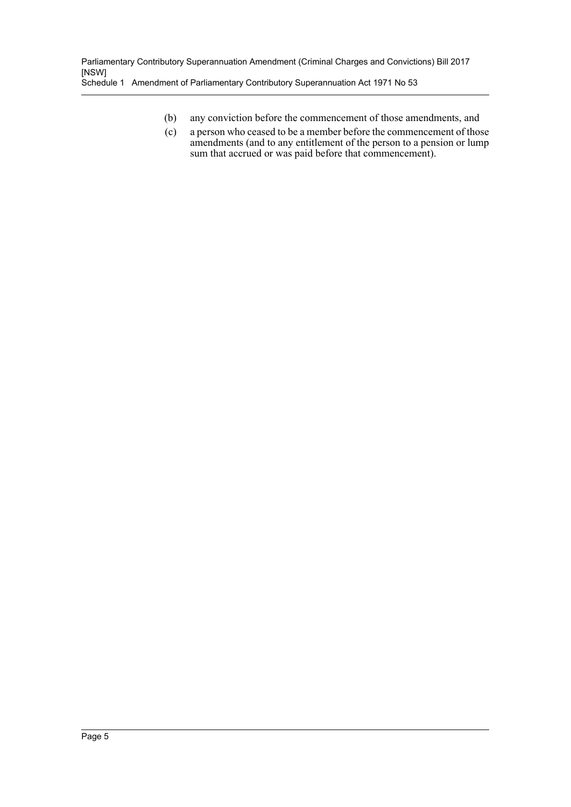- (b) any conviction before the commencement of those amendments, and
- (c) a person who ceased to be a member before the commencement of those amendments (and to any entitlement of the person to a pension or lump sum that accrued or was paid before that commencement).